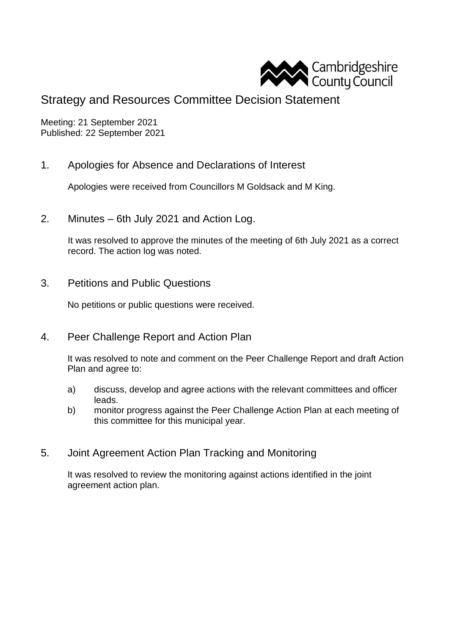

## Strategy and Resources Committee Decision Statement

Meeting: 21 September 2021 Published: 22 September 2021

1. Apologies for Absence and Declarations of Interest

Apologies were received from Councillors M Goldsack and M King.

2. Minutes – 6th July 2021 and Action Log.

It was resolved to approve the minutes of the meeting of 6th July 2021 as a correct record. The action log was noted.

3. Petitions and Public Questions

No petitions or public questions were received.

4. Peer Challenge Report and Action Plan

It was resolved to note and comment on the Peer Challenge Report and draft Action Plan and agree to:

- a) discuss, develop and agree actions with the relevant committees and officer leads.
- b) monitor progress against the Peer Challenge Action Plan at each meeting of this committee for this municipal year.
- 5. Joint Agreement Action Plan Tracking and Monitoring

It was resolved to review the monitoring against actions identified in the joint agreement action plan.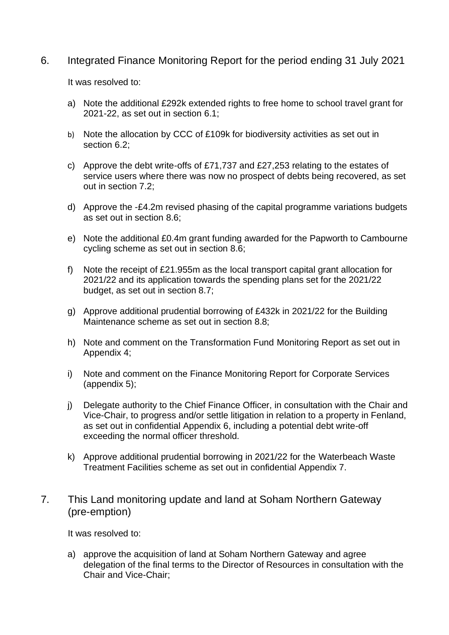## 6. Integrated Finance Monitoring Report for the period ending 31 July 2021

It was resolved to:

- a) Note the additional £292k extended rights to free home to school travel grant for 2021-22, as set out in section 6.1;
- b) Note the allocation by CCC of £109k for biodiversity activities as set out in section 6.2;
- c) Approve the debt write-offs of £71,737 and £27,253 relating to the estates of service users where there was now no prospect of debts being recovered, as set out in section 7.2;
- d) Approve the -£4.2m revised phasing of the capital programme variations budgets as set out in section 8.6;
- e) Note the additional £0.4m grant funding awarded for the Papworth to Cambourne cycling scheme as set out in section 8.6;
- f) Note the receipt of £21.955m as the local transport capital grant allocation for 2021/22 and its application towards the spending plans set for the 2021/22 budget, as set out in section 8.7;
- g) Approve additional prudential borrowing of £432k in 2021/22 for the Building Maintenance scheme as set out in section 8.8;
- h) Note and comment on the Transformation Fund Monitoring Report as set out in Appendix 4;
- i) Note and comment on the Finance Monitoring Report for Corporate Services (appendix 5);
- j) Delegate authority to the Chief Finance Officer, in consultation with the Chair and Vice-Chair, to progress and/or settle litigation in relation to a property in Fenland, as set out in confidential Appendix 6, including a potential debt write-off exceeding the normal officer threshold.
- k) Approve additional prudential borrowing in 2021/22 for the Waterbeach Waste Treatment Facilities scheme as set out in confidential Appendix 7.
- 7. This Land monitoring update and land at Soham Northern Gateway (pre-emption)

It was resolved to:

a) approve the acquisition of land at Soham Northern Gateway and agree delegation of the final terms to the Director of Resources in consultation with the Chair and Vice-Chair;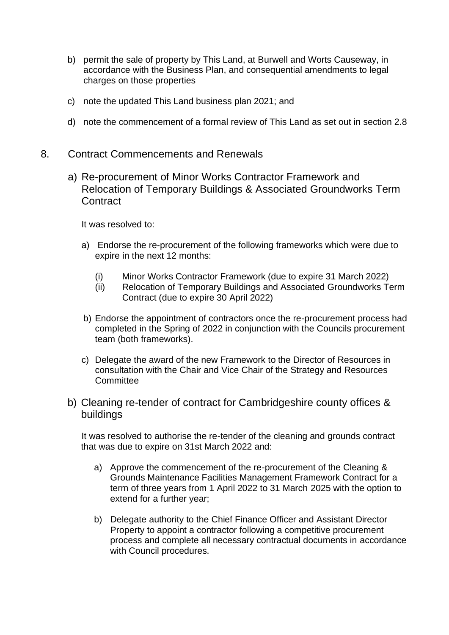- b) permit the sale of property by This Land, at Burwell and Worts Causeway, in accordance with the Business Plan, and consequential amendments to legal charges on those properties
- c) note the updated This Land business plan 2021; and
- d) note the commencement of a formal review of This Land as set out in section 2.8
- 8. Contract Commencements and Renewals
	- a) Re-procurement of Minor Works Contractor Framework and Relocation of Temporary Buildings & Associated Groundworks Term **Contract**

It was resolved to:

- a) Endorse the re-procurement of the following frameworks which were due to expire in the next 12 months:
	- (i) Minor Works Contractor Framework (due to expire 31 March 2022)
	- (ii) Relocation of Temporary Buildings and Associated Groundworks Term Contract (due to expire 30 April 2022)
- b) Endorse the appointment of contractors once the re-procurement process had completed in the Spring of 2022 in conjunction with the Councils procurement team (both frameworks).
- c) Delegate the award of the new Framework to the Director of Resources in consultation with the Chair and Vice Chair of the Strategy and Resources **Committee**
- b) Cleaning re-tender of contract for Cambridgeshire county offices & buildings

It was resolved to authorise the re-tender of the cleaning and grounds contract that was due to expire on 31st March 2022 and:

- a) Approve the commencement of the re-procurement of the Cleaning & Grounds Maintenance Facilities Management Framework Contract for a term of three years from 1 April 2022 to 31 March 2025 with the option to extend for a further year;
- b) Delegate authority to the Chief Finance Officer and Assistant Director Property to appoint a contractor following a competitive procurement process and complete all necessary contractual documents in accordance with Council procedures.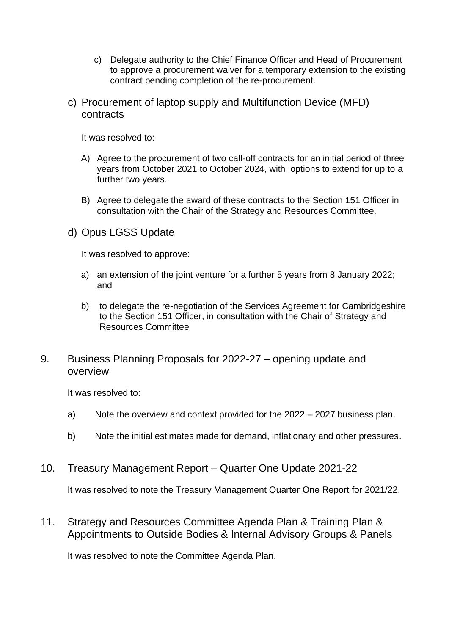- c) Delegate authority to the Chief Finance Officer and Head of Procurement to approve a procurement waiver for a temporary extension to the existing contract pending completion of the re-procurement.
- c) Procurement of laptop supply and Multifunction Device (MFD) contracts

It was resolved to:

- A) Agree to the procurement of two call-off contracts for an initial period of three years from October 2021 to October 2024, with options to extend for up to a further two years.
- B) Agree to delegate the award of these contracts to the Section 151 Officer in consultation with the Chair of the Strategy and Resources Committee.
- d) Opus LGSS Update

It was resolved to approve:

- a) an extension of the joint venture for a further 5 years from 8 January 2022; and
- b) to delegate the re-negotiation of the Services Agreement for Cambridgeshire to the Section 151 Officer, in consultation with the Chair of Strategy and Resources Committee
- 9. Business Planning Proposals for 2022-27 opening update and overview

It was resolved to:

- a) Note the overview and context provided for the 2022 2027 business plan.
- b) Note the initial estimates made for demand, inflationary and other pressures.
- 10. Treasury Management Report Quarter One Update 2021-22

It was resolved to note the Treasury Management Quarter One Report for 2021/22.

11. Strategy and Resources Committee Agenda Plan & Training Plan & Appointments to Outside Bodies & Internal Advisory Groups & Panels

It was resolved to note the Committee Agenda Plan.